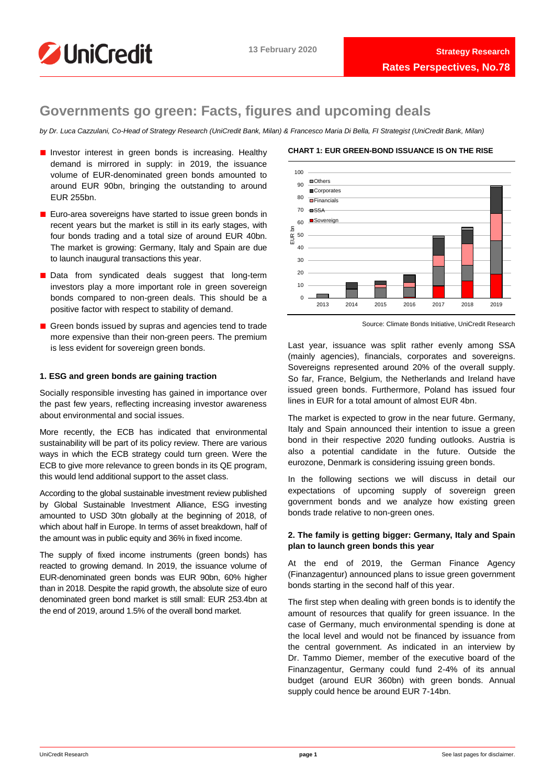

# **Governments go green: Facts, figures and upcoming deals**

*by Dr. Luca Cazzulani, Co-Head of Strategy Research (UniCredit Bank, Milan) & Francesco Maria Di Bella, FI Strategist (UniCredit Bank, Milan)*

- Investor interest in green bonds is increasing. Healthy demand is mirrored in supply: in 2019, the issuance volume of EUR-denominated green bonds amounted to around EUR 90bn, bringing the outstanding to around EUR 255bn.
- Euro-area sovereigns have started to issue green bonds in recent years but the market is still in its early stages, with four bonds trading and a total size of around EUR 40bn. The market is growing: Germany, Italy and Spain are due to launch inaugural transactions this year.
- Data from syndicated deals suggest that long-term investors play a more important role in green sovereign bonds compared to non-green deals. This should be a positive factor with respect to stability of demand.
- Green bonds issued by supras and agencies tend to trade more expensive than their non-green peers. The premium is less evident for sovereign green bonds.

## **1. ESG and green bonds are gaining traction**

Socially responsible investing has gained in importance over the past few years, reflecting increasing investor awareness about environmental and social issues.

More recently, the ECB has indicated that environmental sustainability will be part of its policy review. There are various ways in which the ECB strategy could turn green. Were the ECB to give more relevance to green bonds in its QE program, this would lend additional support to the asset class.

According to the global sustainable investment review published by Global Sustainable Investment Alliance, ESG investing amounted to USD 30tn globally at the beginning of 2018, of which about half in Europe. In terms of asset breakdown, half of the amount was in public equity and 36% in fixed income.

The supply of fixed income instruments (green bonds) has reacted to growing demand. In 2019, the issuance volume of EUR-denominated green bonds was EUR 90bn, 60% higher than in 2018. Despite the rapid growth, the absolute size of euro denominated green bond market is still small: EUR 253.4bn at the end of 2019, around 1.5% of the overall bond market.



#### Source: Climate Bonds Initiative, UniCredit Research

Last year, issuance was split rather evenly among SSA (mainly agencies), financials, corporates and sovereigns. Sovereigns represented around 20% of the overall supply. So far, France, Belgium, the Netherlands and Ireland have issued green bonds. Furthermore, Poland has issued four lines in EUR for a total amount of almost EUR 4bn.

The market is expected to grow in the near future. Germany, Italy and Spain announced their intention to issue a green bond in their respective 2020 funding outlooks. Austria is also a potential candidate in the future. Outside the eurozone, Denmark is considering issuing green bonds.

In the following sections we will discuss in detail our expectations of upcoming supply of sovereign green government bonds and we analyze how existing green bonds trade relative to non-green ones.

## **2. The family is getting bigger: Germany, Italy and Spain plan to launch green bonds this year**

At the end of 2019, the German Finance Agency (Finanzagentur) announced plans to issue green government bonds starting in the second half of this year.

The first step when dealing with green bonds is to identify the amount of resources that qualify for green issuance. In the case of Germany, much environmental spending is done at the local level and would not be financed by issuance from the central government. As indicated in an interview by Dr. Tammo Diemer, member of the executive board of the Finanzagentur, Germany could fund 2-4% of its annual budget (around EUR 360bn) with green bonds. Annual supply could hence be around EUR 7-14bn.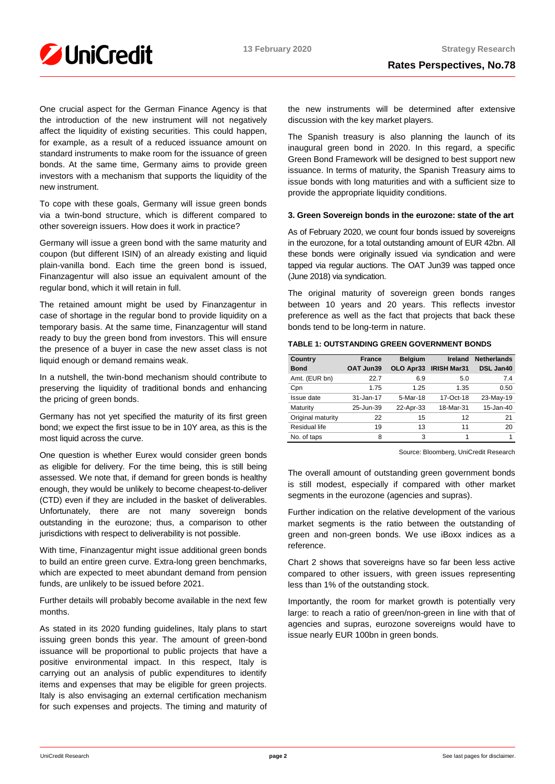

One crucial aspect for the German Finance Agency is that the introduction of the new instrument will not negatively affect the liquidity of existing securities. This could happen, for example, as a result of a reduced issuance amount on standard instruments to make room for the issuance of green bonds. At the same time, Germany aims to provide green investors with a mechanism that supports the liquidity of the new instrument.

To cope with these goals, Germany will issue green bonds via a twin-bond structure, which is different compared to other sovereign issuers. How does it work in practice?

Germany will issue a green bond with the same maturity and coupon (but different ISIN) of an already existing and liquid plain-vanilla bond. Each time the green bond is issued, Finanzagentur will also issue an equivalent amount of the regular bond, which it will retain in full.

The retained amount might be used by Finanzagentur in case of shortage in the regular bond to provide liquidity on a temporary basis. At the same time, Finanzagentur will stand ready to buy the green bond from investors. This will ensure the presence of a buyer in case the new asset class is not liquid enough or demand remains weak.

In a nutshell, the twin-bond mechanism should contribute to preserving the liquidity of traditional bonds and enhancing the pricing of green bonds.

Germany has not yet specified the maturity of its first green bond; we expect the first issue to be in 10Y area, as this is the most liquid across the curve.

One question is whether Eurex would consider green bonds as eligible for delivery. For the time being, this is still being assessed. We note that, if demand for green bonds is healthy enough, they would be unlikely to become cheapest-to-deliver (CTD) even if they are included in the basket of deliverables. Unfortunately, there are not many sovereign bonds outstanding in the eurozone; thus, a comparison to other jurisdictions with respect to deliverability is not possible.

With time, Finanzagentur might issue additional green bonds to build an entire green curve. Extra-long green benchmarks, which are expected to meet abundant demand from pension funds, are unlikely to be issued before 2021.

Further details will probably become available in the next few months.

As stated in its 2020 funding guidelines, Italy plans to start issuing green bonds this year. The amount of green-bond issuance will be proportional to public projects that have a positive environmental impact. In this respect, Italy is carrying out an analysis of public expenditures to identify items and expenses that may be eligible for green projects. Italy is also envisaging an external certification mechanism for such expenses and projects. The timing and maturity of the new instruments will be determined after extensive discussion with the key market players.

The Spanish treasury is also planning the launch of its inaugural green bond in 2020. In this regard, a specific Green Bond Framework will be designed to best support new issuance. In terms of maturity, the Spanish Treasury aims to issue bonds with long maturities and with a sufficient size to provide the appropriate liquidity conditions.

## **3. Green Sovereign bonds in the eurozone: state of the art**

As of February 2020, we count four bonds issued by sovereigns in the eurozone, for a total outstanding amount of EUR 42bn. All these bonds were originally issued via syndication and were tapped via regular auctions. The OAT Jun39 was tapped once (June 2018) via syndication.

The original maturity of sovereign green bonds ranges between 10 years and 20 years. This reflects investor preference as well as the fact that projects that back these bonds tend to be long-term in nature.

|  | TABLE 1: OUTSTANDING GREEN GOVERNMENT BONDS |  |
|--|---------------------------------------------|--|
|  |                                             |  |

| Country           | <b>France</b> | <b>Belgium</b> | Ireland            | <b>Netherlands</b> |
|-------------------|---------------|----------------|--------------------|--------------------|
| <b>Bond</b>       | OAT Jun39     | OLO Apr33      | <b>IRISH Mar31</b> | DSL Jan40          |
| Amt. (EUR bn)     | 22.7          | 6.9            | 5.0                | 7.4                |
| Cpn               | 1.75          | 1.25           | 1.35               | 0.50               |
| Issue date        | 31-Jan-17     | 5-Mar-18       | 17-Oct-18          | 23-May-19          |
| Maturity          | 25-Jun-39     | 22-Apr-33      | 18-Mar-31          | 15-Jan-40          |
| Original maturity | 22            | 15             | 12                 | 21                 |
| Residual life     | 19            | 13             | 11                 | 20                 |
| No. of taps       | 8             | 3              |                    |                    |

Source: Bloomberg, UniCredit Research

The overall amount of outstanding green government bonds is still modest, especially if compared with other market segments in the eurozone (agencies and supras).

Further indication on the relative development of the various market segments is the ratio between the outstanding of green and non-green bonds. We use iBoxx indices as a reference.

Chart 2 shows that sovereigns have so far been less active compared to other issuers, with green issues representing less than 1% of the outstanding stock.

Importantly, the room for market growth is potentially very large: to reach a ratio of green/non-green in line with that of agencies and supras, eurozone sovereigns would have to issue nearly EUR 100bn in green bonds.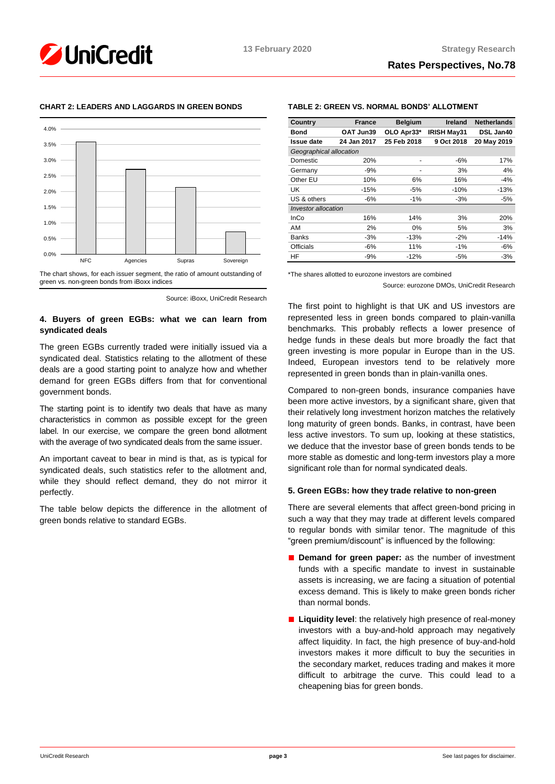

## **CHART 2: LEADERS AND LAGGARDS IN GREEN BONDS**

The chart shows, for each issuer segment, the ratio of amount outstanding of green vs. non-green bonds from iBoxx indices

## **4. Buyers of green EGBs: what we can learn from syndicated deals**

The green EGBs currently traded were initially issued via a syndicated deal. Statistics relating to the allotment of these deals are a good starting point to analyze how and whether demand for green EGBs differs from that for conventional government bonds.

The starting point is to identify two deals that have as many characteristics in common as possible except for the green label. In our exercise, we compare the green bond allotment with the average of two syndicated deals from the same issuer.

An important caveat to bear in mind is that, as is typical for syndicated deals, such statistics refer to the allotment and, while they should reflect demand, they do not mirror it perfectly.

The table below depicts the difference in the allotment of green bonds relative to standard EGBs.

## **TABLE 2: GREEN VS. NORMAL BONDS' ALLOTMENT**

| Country                 | <b>France</b> | <b>Belgium</b> | <b>Ireland</b>     | <b>Netherlands</b> |  |
|-------------------------|---------------|----------------|--------------------|--------------------|--|
| Bond                    | OAT Jun39     | OLO Apr33*     | <b>IRISH May31</b> | DSL Jan40          |  |
| <b>Issue date</b>       | 24 Jan 2017   | 25 Feb 2018    | 9 Oct 2018         | 20 May 2019        |  |
| Geographical allocation |               |                |                    |                    |  |
| Domestic                | 20%           |                | -6%                | 17%                |  |
| Germany                 | -9%           |                | 3%                 | 4%                 |  |
| Other EU                | 10%           | 6%             | 16%                | $-4%$              |  |
| UK                      | $-15%$        | -5%            | $-10%$             | $-13%$             |  |
| US & others             | -6%           | -1%            | $-3%$              | $-5%$              |  |
| Investor allocation     |               |                |                    |                    |  |
| InCo                    | 16%           | 14%            | 3%                 | 20%                |  |
| AM                      | 2%            | $0\%$          | 5%                 | 3%                 |  |
| <b>Banks</b>            | $-3%$         | $-13%$         | $-2%$              | $-14%$             |  |
| <b>Officials</b>        | -6%           | 11%            | $-1%$              | -6%                |  |
| HF                      | $-9%$         | $-12%$         | $-5%$              | $-3%$              |  |

\*The shares allotted to eurozone investors are combined

Source: eurozone DMOs, UniCredit Research

The first point to highlight is that UK and US investors are represented less in green bonds compared to plain-vanilla benchmarks. This probably reflects a lower presence of hedge funds in these deals but more broadly the fact that green investing is more popular in Europe than in the US. Indeed, European investors tend to be relatively more represented in green bonds than in plain-vanilla ones.

Compared to non-green bonds, insurance companies have been more active investors, by a significant share, given that their relatively long investment horizon matches the relatively long maturity of green bonds. Banks, in contrast, have been less active investors. To sum up, looking at these statistics, we deduce that the investor base of green bonds tends to be more stable as domestic and long-term investors play a more significant role than for normal syndicated deals.

## **5. Green EGBs: how they trade relative to non-green**

There are several elements that affect green-bond pricing in such a way that they may trade at different levels compared to regular bonds with similar tenor. The magnitude of this "green premium/discount" is influenced by the following:

- **Demand for green paper:** as the number of investment funds with a specific mandate to invest in sustainable assets is increasing, we are facing a situation of potential excess demand. This is likely to make green bonds richer than normal bonds.
- **Liquidity level**: the relatively high presence of real-money investors with a buy-and-hold approach may negatively affect liquidity. In fact, the high presence of buy-and-hold investors makes it more difficult to buy the securities in the secondary market, reduces trading and makes it more difficult to arbitrage the curve. This could lead to a cheapening bias for green bonds.

Source: iBoxx, UniCredit Research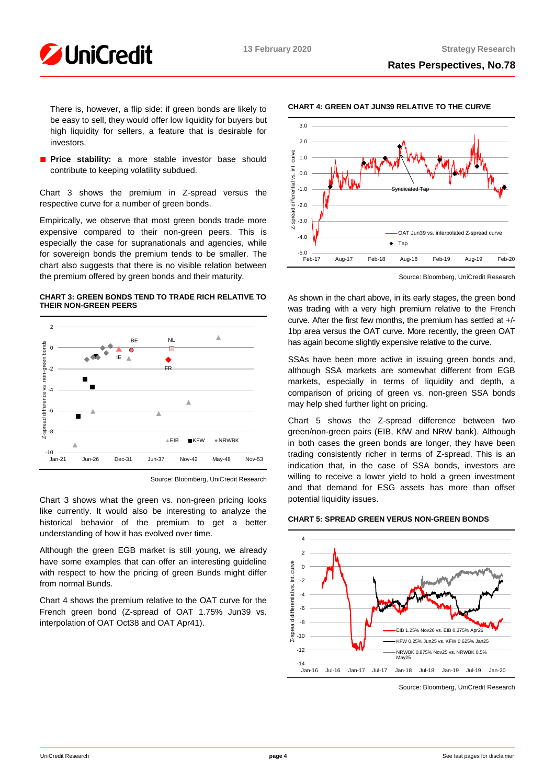

There is, however, a flip side: if green bonds are likely to be easy to sell, they would offer low liquidity for buyers but high liquidity for sellers, a feature that is desirable for investors.

■ **Price stability:** a more stable investor base should contribute to keeping volatility subdued.

Chart 3 shows the premium in Z-spread versus the respective curve for a number of green bonds.

Empirically, we observe that most green bonds trade more expensive compared to their non-green peers. This is especially the case for supranationals and agencies, while for sovereign bonds the premium tends to be smaller. The chart also suggests that there is no visible relation between the premium offered by green bonds and their maturity.

### **CHART 3: GREEN BONDS TEND TO TRADE RICH RELATIVE TO THEIR NON-GREEN PEERS**



Source: Bloomberg, UniCredit Research

Chart 3 shows what the green vs. non-green pricing looks like currently. It would also be interesting to analyze the historical behavior of the premium to get a better understanding of how it has evolved over time.

Although the green EGB market is still young, we already have some examples that can offer an interesting guideline with respect to how the pricing of green Bunds might differ from normal Bunds.

Chart 4 shows the premium relative to the OAT curve for the French green bond (Z-spread of OAT 1.75% Jun39 vs. interpolation of OAT Oct38 and OAT Apr41).





Source: Bloomberg, UniCredit Research

As shown in the chart above, in its early stages, the green bond was trading with a very high premium relative to the French curve. After the first few months, the premium has settled at +/- 1bp area versus the OAT curve. More recently, the green OAT has again become slightly expensive relative to the curve.

SSAs have been more active in issuing green bonds and, although SSA markets are somewhat different from EGB markets, especially in terms of liquidity and depth, a comparison of pricing of green vs. non-green SSA bonds may help shed further light on pricing.

Chart 5 shows the Z-spread difference between two green/non-green pairs (EIB, KfW and NRW bank). Although in both cases the green bonds are longer, they have been trading consistently richer in terms of Z-spread. This is an indication that, in the case of SSA bonds, investors are willing to receive a lower yield to hold a green investment and that demand for ESG assets has more than offset potential liquidity issues.

## **CHART 5: SPREAD GREEN VERUS NON-GREEN BONDS**



Source: Bloomberg, UniCredit Research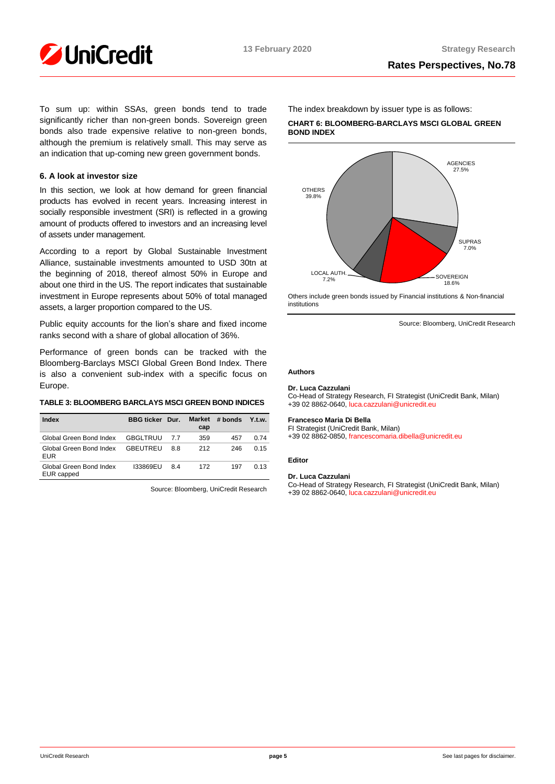To sum up: within SSAs, green bonds tend to trade significantly richer than non-green bonds. Sovereign green bonds also trade expensive relative to non-green bonds, although the premium is relatively small. This may serve as an indication that up-coming new green government bonds.

## **6. A look at investor size**

In this section, we look at how demand for green financial products has evolved in recent years. Increasing interest in socially responsible investment (SRI) is reflected in a growing amount of products offered to investors and an increasing level of assets under management.

According to a report by Global Sustainable Investment Alliance, sustainable investments amounted to USD 30tn at the beginning of 2018, thereof almost 50% in Europe and about one third in the US. The report indicates that sustainable investment in Europe represents about 50% of total managed assets, a larger proportion compared to the US.

Public equity accounts for the lion's share and fixed income ranks second with a share of global allocation of 36%.

Performance of green bonds can be tracked with the Bloomberg-Barclays MSCI Global Green Bond Index. There is also a convenient sub-index with a specific focus on Europe.

## **TABLE 3: BLOOMBERG BARCLAYS MSCI GREEN BOND INDICES**

| Index                                 | <b>BBG ticker</b> | Dur. | <b>Market</b><br>cap | # bonds | $Y_{.}$ t.w. |
|---------------------------------------|-------------------|------|----------------------|---------|--------------|
| Global Green Bond Index               | <b>GBGLTRUU</b>   | 77   | 359                  | 457     | 0.74         |
| Global Green Bond Index<br><b>EUR</b> | <b>GBEUTREU</b>   | 88   | 212                  | 246     | 0.15         |
| Global Green Bond Index<br>EUR capped | 133869EU          | 84   | 172                  | 197     | O 13         |

Source: Bloomberg, UniCredit Research

The index breakdown by issuer type is as follows:

**CHART 6: BLOOMBERG-BARCLAYS MSCI GLOBAL GREEN BOND INDEX**



Others include green bonds issued by Financial institutions & Non-financial institutions

Source: Bloomberg, UniCredit Research

## **Authors**

#### **Dr. Luca Cazzulani**

Co-Head of Strategy Research, FI Strategist (UniCredit Bank, Milan) +39 02 8862-0640[, luca.cazzulani@unicredit.eu](mailto:luca.cazzulani@unicredit.eu)

#### **Francesco Maria Di Bella**

FI Strategist (UniCredit Bank, Milan) +39 02 8862-0850[, francescomaria.dibella@unicredit.eu](mailto:francescomaria.dibella@unicredit.eu)

#### **Editor**

## **Dr. Luca Cazzulani**

Co-Head of Strategy Research, FI Strategist (UniCredit Bank, Milan) +39 02 8862-0640[, luca.cazzulani@unicredit.eu](mailto:luca.cazzulani@unicredit.eu)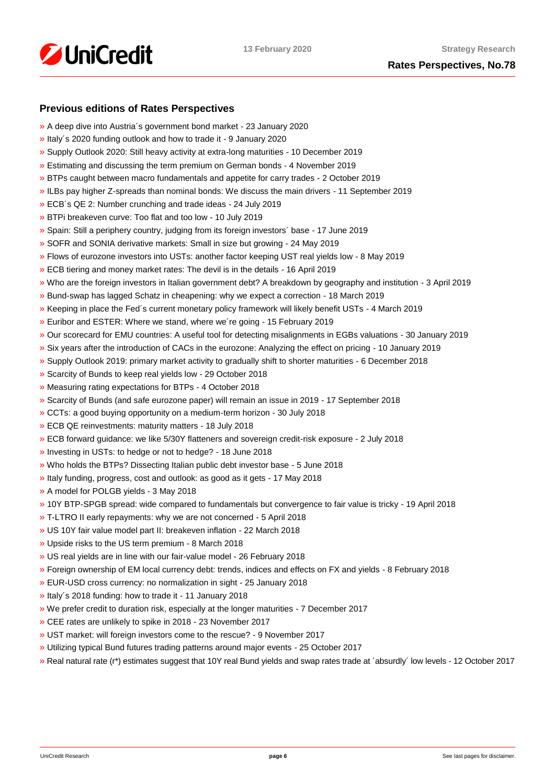

## **Rates Perspectives, No.78**

## **Previous editions of Rates Perspectives**

- [»](https://www.research.unicredit.eu/DocsKey/fxfistrategy_docs_2020_175729.ashx?EXT=pdf&KEY=KZGTuQCn4lsvclJnUgseVFcI2-vTFR2nD3IxnL2-DMsUkYgH9VwtEQ==&T=1) A deep dive into Austria´s government bond market 23 January 2020
- [»](https://www.research.unicredit.eu/DocsKey/fxfistrategy_docs_2020_175593.ashx?EXT=pdf&KEY=KZGTuQCn4lsvclJnUgseVFcI2-vTFR2nXzQVTsg1IArUTJHz7ClnKQ==&T=1) Italy´s 2020 funding outlook and how to trade it 9 January 2020
- [»](https://www.research.unicredit.eu/DocsKey/fxfistrategy_docs_2019_175462.ashx?EXT=pdf&KEY=KZGTuQCn4lsvclJnUgseVEGHysWJl2Ns9AlMl_yM9fb41Glf-ynILQ==&T=1) Supply Outlook 2020: Still heavy activity at extra-long maturities 10 December 2019
- [»](https://www.research.unicredit.eu/DocsKey/fxfistrategy_docs_2019_175097.ashx?EXT=pdf&KEY=KZGTuQCn4lsvclJnUgseVEGHysWJl2NsalH1w8p3dPurdMMtjayMTw==&T=1) Estimating and discussing the term premium on German bonds 4 November 2019
- [»](https://www.research.unicredit.eu/DocsKey/fxfistrategy_docs_2019_174747.ashx?EXT=pdf&KEY=KZGTuQCn4lsvclJnUgseVEGHysWJl2NshFxQRxeXxVYxi2cgVzAqQQ==&T=1) BTPs caught between macro fundamentals and appetite for carry trades 2 October 2019
- [»](https://www.research.unicredit.eu/DocsKey/fxfistrategy_docs_2019_174503.ashx?EXT=pdf&KEY=KZGTuQCn4lsvclJnUgseVEGHysWJl2NsCFMwr5HzJ17_YmUeW60-Ag==&T=1) ILBs pay higher Z-spreads than nominal bonds: We discuss the main drivers 11 September 2019
- [»](https://www.research.unicredit.eu/DocsKey/fxfistrategy_docs_2019_173046.ashx?EXT=pdf&KEY=KZGTuQCn4lsvclJnUgseVEGHysWJl2NsYmN8grxHaGuMlNiR5FCG-Q==&T=1) ECB´s QE 2: Number crunching and trade ideas 24 July 2019
- [»](https://www.research.unicredit.eu/DocsKey/fxfistrategy_docs_2019_172874.ashx?EXT=pdf&KEY=KZGTuQCn4lsvclJnUgseVEGHysWJl2NsU6w4VN1R8ufrSpaKVsG8hw==&T=1) BTPi breakeven curve: Too flat and too low 10 July 2019
- [»](https://www.research.unicredit.eu/DocsKey/fxfistrategy_docs_2019_172612.ashx?EXT=pdf&KEY=KZGTuQCn4lsvclJnUgseVEGHysWJl2Ns2prJ4cLGo5kZAYkhTSIwiQ==&T=1) Spain: Still a periphery country, judging from its foreign investors´ base 17 June 2019
- [»](https://www.research.unicredit.eu/DocsKey/fxfistrategy_docs_2019_172362.ashx?EXT=pdf&KEY=KZGTuQCn4lsvclJnUgseVEGHysWJl2NsmV7mtWY1YutdeERi5OnkvA==&T=1) SOFR and SONIA derivative markets: Small in size but growing 24 May 2019
- [»](https://www.research.unicredit.eu/DocsKey/fxfistrategy_docs_2019_171193.ashx?EXT=pdf&KEY=KZGTuQCn4lsvclJnUgseVEGHysWJl2NsQ363zHJuO-4ubO81Q09WWw==&T=1) Flows of eurozone investors into USTs: another factor keeping UST real yields low 8 May 2019
- [»](https://www.research.unicredit.eu/DocsKey/fxfistrategy_docs_2019_170974.ashx?EXT=pdf&KEY=KZGTuQCn4lsvclJnUgseVEGHysWJl2NsRTomOaKjVl9lFV8OK8lXLA==&T=1) ECB tiering and money market rates: The devil is in the details 16 April 2019
- [»](https://www.research.unicredit.eu/DocsKey/fxfistrategy_docs_2019_170284.ashx?EXT=pdf&KEY=KZGTuQCn4lsvclJnUgseVEGHysWJl2NsEwG0xblWxFK9BVQAB4eryA==&T=1) Who are the foreign investors in Italian government debt? A breakdown by geography and institution 3 April 2019
- [»](https://www.research.unicredit.eu/DocsKey/fxfistrategy_docs_2019_170066.ashx?EXT=pdf&KEY=KZGTuQCn4lsvclJnUgseVEGHysWJl2NsNOWCS-vPqTdpZhijXIyJ5Q==&T=1) Bund-swap has lagged Schatz in cheapening: why we expect a correction 18 March 2019
- [»](https://www.research.unicredit.eu/DocsKey/fxfistrategy_docs_2019_169883.ashx?EXT=pdf&KEY=KZGTuQCn4lsvclJnUgseVEGHysWJl2Nsz9dXRsXwpAsZUUpCjW9eRw==&T=1) Keeping in place the Fed´s current monetary policy framework will likely benefit USTs 4 March 2019
- [»](https://www.research.unicredit.eu/DocsKey/fxfistrategy_docs_2019_169681.ashx?EXT=pdf&KEY=KZGTuQCn4lsvclJnUgseVEGHysWJl2NsvFsIe2gTc3YHhaYXz8CyMQ==&T=1) Euribor and ESTER: Where we stand, where we´re going 15 February 2019
- [»](https://www.research.unicredit.eu/DocsKey/fxfistrategy_docs_2019_168976.ashx?EXT=pdf&KEY=KZGTuQCn4lsvclJnUgseVEGHysWJl2NsBRIhGRL9OpCAofKNpRdbqw==&T=1) Our scorecard for EMU countries: A useful tool for detecting misalignments in EGBs valuations 30 January 2019
- [»](https://www.research.unicredit.eu/DocsKey/fxfistrategy_docs_2019_168690.ashx?EXT=pdf&KEY=KZGTuQCn4lsvclJnUgseVEGHysWJl2Ns6zwNCeXNSn5_WEAdcnzkSw==&T=1) Six years after the introduction of CACs in the eurozone: Analyzing the effect on pricing 10 January 2019
- [»](https://www.research.unicredit.eu/DocsKey/fxfistrategy_docs_2018_168081.ashx?EXT=pdf&KEY=KZGTuQCn4lsvclJnUgseVGkpNcRXR5-WdODblZpTi0A4RE9IYOSOOA==&T=1) Supply Outlook 2019: primary market activity to gradually shift to shorter maturities 6 December 2018
- [»](https://www.research.unicredit.eu/DocsKey/fxfistrategy_docs_2018_167651.ashx?EXT=pdf&KEY=KZGTuQCn4lsvclJnUgseVGkpNcRXR5-WLbIUypeIHxyD3rdrNgjwjg==&T=1) Scarcity of Bunds to keep real yields low 29 October 2018
- [»](https://www.research.unicredit.eu/DocsKey/fxfistrategy_docs_2018_167362.ashx?EXT=pdf&KEY=KZGTuQCn4lsvclJnUgseVGkpNcRXR5-W7gOokc4_UKGkd-Hy3Wx_vg==&T=1) Measuring rating expectations for BTPs 4 October 2018
- [»](https://www.research.unicredit.eu/DocsKey/fxfistrategy_docs_2018_167162.ashx?EXT=pdf&KEY=KZGTuQCn4lsvclJnUgseVGkpNcRXR5-WLonU6aW-riDJHVt4RBRKJQ==&T=1) Scarcity of Bunds (and safe eurozone paper) will remain an issue in 2019 17 September 2018
- [»](https://www.research.unicredit.eu/DocsKey/fxfistrategy_docs_2018_166735.ashx?EXT=pdf&KEY=KZGTuQCn4lsvclJnUgseVGkpNcRXR5-WJcyLXLDNCHrk_1IGoA85eQ==&T=1) CCTs: a good buying opportunity on a medium-term horizon 30 July 2018
- [»](https://www.research.unicredit.eu/DocsKey/fxfistrategy_docs_2018_165506.ashx?EXT=pdf&KEY=KZGTuQCn4lsvclJnUgseVGkpNcRXR5-WelAdBLCjwv2CsrEf1G_7vA==&T=1) ECB QE reinvestments: maturity matters 18 July 2018
- [»](https://www.research.unicredit.eu/DocsKey/fxfistrategy_docs_2018_165296.ashx?EXT=pdf&KEY=KZGTuQCn4lsvclJnUgseVGkpNcRXR5-Wl83fmK6epfPJRPrdFbpp8A==&T=1) ECB forward guidance: we like 5/30Y flatteners and sovereign credit-risk exposure 2 July 2018
- [»](https://www.research.unicredit.eu/DocsKey/fxfistrategy_docs_2018_165113.ashx?EXT=pdf&KEY=KZGTuQCn4lsvclJnUgseVGkpNcRXR5-WdMw8JSHF2Ih6d0UhMlk5iA==&T=1) Investing in USTs: to hedge or not to hedge? 18 June 2018
- [»](https://www.research.unicredit.eu/DocsKey/fxfistrategy_docs_2018_164967.ashx?EXT=pdf&KEY=KZGTuQCn4lsvclJnUgseVGkpNcRXR5-WLoNFhsvJBXHbE69WfFEurg==&T=1) Who holds the BTPs? Dissecting Italian public debt investor base 5 June 2018
- [»](https://www.research.unicredit.eu/DocsKey/fxfistrategy_docs_2018_164775.ashx?EXT=pdf&KEY=KZGTuQCn4lsvclJnUgseVGkpNcRXR5-WZF21zKfJuZ_5iLWWjJ2GpQ==&T=1) Italy funding, progress, cost and outlook: as good as it gets 17 May 2018
- [»](https://www.research.unicredit.eu/DocsKey/fxfistrategy_docs_2018_164589.ashx?EXT=pdf&KEY=KZGTuQCn4lsvclJnUgseVGkpNcRXR5-WHckxsj1laTH6N7QU0C6uzQ==&T=1) A model for POLGB yields 3 May 2018
- [»](https://www.research.unicredit.eu/DocsKey/fxfistrategy_docs_2018_164411.ashx?EXT=pdf&KEY=KZGTuQCn4lsvclJnUgseVGkpNcRXR5-W4Dmv9B6O0atd94s-0yUFlA==&T=1) 10Y BTP-SPGB spread: wide compared to fundamentals but convergence to fair value is tricky 19 April 2018
- [»](https://www.research.unicredit.eu/DocsKey/fxfistrategy_docs_2018_164242.ashx?EXT=pdf&KEY=KZGTuQCn4lsvclJnUgseVGkpNcRXR5-WFjPeFcDloA2Q8h6v6oWNhw==&T=1) T-LTRO II early repayments: why we are not concerned 5 April 2018
- [»](https://www.research.unicredit.eu/DocsKey/fxfistrategy_docs_2018_164099.ashx?EXT=pdf&KEY=KZGTuQCn4lsvclJnUgseVGkpNcRXR5-WK-s5y8Kxt0FmgxTPbhrZtA==&T=1) US 10Y fair value model part II: breakeven inflation 22 March 2018
- [»](https://www.research.unicredit.eu/DocsKey/fxfistrategy_docs_2018_163914.ashx?EXT=pdf&KEY=KZGTuQCn4lsvclJnUgseVGkpNcRXR5-W6uAyZrmo_juOWp31QBzAwQ==&T=1) Upside risks to the US term premium 8 March 2018
- [»](https://www.research.unicredit.eu/DocsKey/fxfistrategy_docs_2018_163795.ashx?EXT=pdf&KEY=KZGTuQCn4lsvclJnUgseVGkpNcRXR5-W31oteEsRkw-wRr-E75wyXQ==&T=1) US real yields are in line with our fair-value model 26 February 2018
- [»](https://www.research.unicredit.eu/DocsKey/fxfistrategy_docs_2018_163569.ashx?EXT=pdf&KEY=KZGTuQCn4lsvclJnUgseVGkpNcRXR5-WOwinUv5yvR4A_iRZMMXqUg==&T=1) Foreign ownership of EM local currency debt: trends, indices and effects on FX and yields 8 February 2018
- [»](https://www.research.unicredit.eu/DocsKey/fxfistrategy_docs_2018_163350.ashx?EXT=pdf&KEY=KZGTuQCn4lsvclJnUgseVGkpNcRXR5-WSfc0pL8-Nw1KrcsN90zewQ==&T=1) EUR-USD cross currency: no normalization in sight 25 January 2018
- [»](https://www.research.unicredit.eu/DocsKey/fxfistrategy_docs_2018_163165.ashx?EXT=pdf&KEY=KZGTuQCn4lsvclJnUgseVGkpNcRXR5-WizOxQ_qd2pKve_EGsME8pw==&T=1) Italy´s 2018 funding: how to trade it 11 January 2018
- [»](https://www.research.unicredit.eu/DocsKey/fxfistrategy_docs_2017_162876.ashx?EXT=pdf&KEY=KZGTuQCn4lsvclJnUgseVBaZnvdiHIQjhlAgRXaAk9xO-WbIBHzmug==&T=1) We prefer credit to duration risk, especially at the longer maturities 7 December 2017
- [»](https://www.research.unicredit.eu/DocsKey/fxfistrategy_docs_2017_162702.ashx?EXT=pdf&KEY=KZGTuQCn4lsvclJnUgseVBaZnvdiHIQj7kV9jp7KGvx_rQqXOlHcBw==&T=1) CEE rates are unlikely to spike in 2018 23 November 2017
- [»](https://www.research.unicredit.eu/DocsKey/fxfistrategy_docs_2017_162521.ashx?EXT=pdf&KEY=KZGTuQCn4lsvclJnUgseVBaZnvdiHIQjHP5HTV6m0S1CZt4h4v7Z7Q==&T=1) UST market: will foreign investors come to the rescue? 9 November 2017
- [»](https://www.research.unicredit.eu/DocsKey/fxfistrategy_docs_2017_162320.ashx?EXT=pdf&KEY=KZGTuQCn4lsvclJnUgseVBaZnvdiHIQj7vBnJBqFdLl3ZPdTI9qTEg==&T=1) Utilizing typical Bund futures trading patterns around major events 25 October 2017
- [»](https://www.research.unicredit.eu/DocsKey/fxfistrategy_docs_2017_162088.ashx?EXT=pdf&KEY=KZGTuQCn4lsvclJnUgseVBaZnvdiHIQjLG2elrHjRgNsVyg0ExmjEg==&T=1) Real natural rate (r\*) estimates suggest that 10Y real Bund yields and swap rates trade at ´absurdly´ low levels 12 October 2017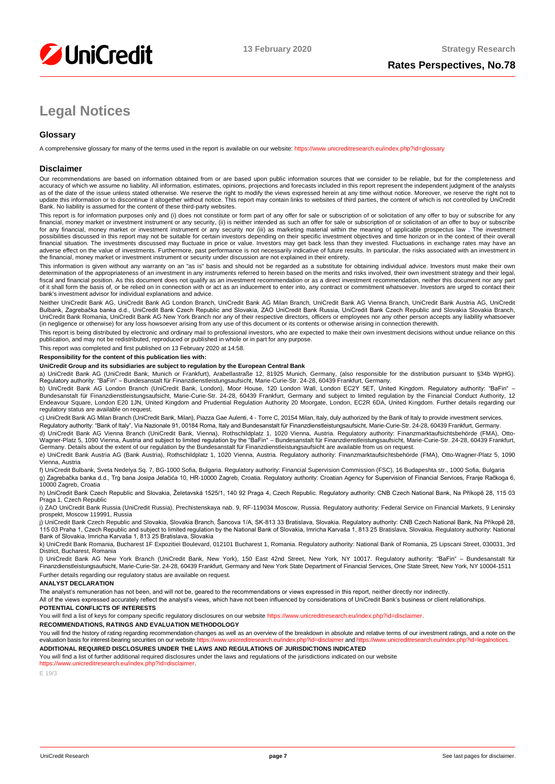

# **Legal Notices**

## **Glossary**

A comprehensive glossary for many of the terms used in the report is available on our website[: https://www.unicreditresearch.eu/index.php?id=glossary](https://www.unicreditresearch.eu/index.php?id=glossary)

#### **Disclaimer**

Our recommendations are based on information obtained from or are based upon public information sources that we consider to be reliable, but for the completeness and accuracy of which we assume no liability. All information, estimates, opinions, projections and forecasts included in this report represent the independent judgment of the analysts as of the date of the issue unless stated otherwise. We reserve the right to modify the views expressed herein at any time without notice. Moreover, we reserve the right not to update this information or to discontinue it altogether without notice. This report may contain links to websites of third parties, the content of which is not controlled by UniCredit<br>Bank. No liability is assumed for the

This report is for information purposes only and (i) does not constitute or form part of any offer for sale or subscription of or solicitation of any offer to buy or subscribe for any<br>financial, money market or investment for any financial, money market or investment instrument or any security nor (iii) as marketing material within the meaning of applicable prospectus law . The investment possibilities discussed in this report may not be suitable for certain investors depending on their specific investment objectives and time horizon or in the context of their overall<br>financial situation. The investments di adverse effect on the value of investments. Furthermore, past performance is not necessarily indicative of future results. In particular, the risks associated with an investment in the financial, money market or investment instrument or security under discussion are not explained in their entirety.

This information is given without any warranty on an "as is" basis and should not be regarded as a substitute for obtaining individual advice. Investors must make their own determination of the appropriateness of an investment in any instruments referred to herein based on the merits and risks involved, their own investment strategy and their legal,<br>fiscal and financial position. As this docu of it shall form the basis of, or be relied on in connection with or act as an inducement to enter into, any contract or commitment whatsoever. Investors are urged to contact their bank's investment advisor for individual explanations and advice.

Neither UniCredit Bank AG, UniCredit Bank AG London Branch, UniCredit Bank AG Milan Branch, UniCredit Bank AG Vienna Branch, UniCredit Bank Austria AG, UniCredit Bulbank, Zagrebačka banka d.d., UniCredit Bank Czech Republic and Slovakia, ZAO UniCredit Bank Russia, UniCredit Bank Czech Republic and Slovakia Slovakia Branch,<br>UniCredit Bank Romania, UniCredit Bank AG New York Branch n (in negligence or otherwise) for any loss howsoever arising from any use of this document or its contents or otherwise arising in connection therewith.

This report is being distributed by electronic and ordinary mail to professional investors, who are expected to make their own investment decisions without undue reliance on this publication, and may not be redistributed, reproduced or published in whole or in part for any purpose.

This report was completed and first published on 13 February 2020 at 14:58.

#### **Responsibility for the content of this publication lies with:**

#### **UniCredit Group and its subsidiaries are subject to regulation by the European Central Bank**

a) UniCredit Bank AG (UniCredit Bank, Munich or Frankfurt), Arabellastraße 12, 81925 Munich, Germany, (also responsible for the distribution pursuant to §34b WpHG). Regulatory authority: "BaFin" – Bundesanstalt für Finanzdienstleistungsaufsicht, Marie-Curie-Str. 24-28, 60439 Frankfurt, Germany.

b) UniCredit Bank AG London Branch (UniCredit Bank, London), Moor House, 120 London Wall, London EC2Y 5ET, United Kingdom. Regulatory authority: "BaFin" –<br>Bundesanstalt für Finanzdienstleistungsaufsicht, Marie-Curie-Str. 2 regulatory status are available on request.

c) UniCredit Bank AG Milan Branch (UniCredit Bank, Milan), Piazza Gae Aulenti, 4 - Torre C, 20154 Milan, Italy, duly authorized by the Bank of Italy to provide investment services.

Regulatory authority: "Bank of Italy", Via Nazionale 91, 00184 Roma, Italy and Bundesanstalt für Finanzdienstleistungsaufsicht, Marie-Curie-Str. 24-28, 60439 Frankfurt, Germany. d) UniCredit Bank AG Vienna Branch (UniCredit Bank, Vienna), Rothschildplatz 1, 1020 Vienna, Austria. Regulatory authority: Finanzmarktaufsichtsbehörde (FMA), Otto-

Wagner-Platz 5, 1090 Vienna, Austria and subject to limited regulation by the "BaFin" – Bundesanstalt für Finanzdienstleistungsaufsicht, Marie-Curie-Str. 24-28, 60439 Frankfurt,<br>Germany. Details about the extent of our reg

e) UniCredit Bank Austria AG (Bank Austria), Rothschildplatz 1, 1020 Vienna, Austria. Regulatory authority: Finanzmarktaufsichtsbehörde (FMA), Otto-Wagner-Platz 5, 1090 Vienna, Austria

f) UniCredit Bulbank, Sveta Nedelya Sq. 7, BG-1000 Sofia, Bulgaria. Regulatory authority: Financial Supervision Commission (FSC), 16 Budapeshta str., 1000 Sofia, Bulgaria g) Zagrebačka banka d.d., Trg bana Josipa Jelačića 10, HR-10000 Zagreb, Croatia. Regulatory authority: Croatian Agency for Supervision of Financial Services, Franje Račkoga 6, 10000 Zagreb, Croatia

h) UniCredit Bank Czech Republic and Slovakia, Želetavská 1525/1, 140 92 Praga 4, Czech Republic. Regulatory authority: CNB Czech National Bank, Na Příkopě 28, 115 03 Praga 1, Czech Republic

i) ZAO UniCredit Bank Russia (UniCredit Russia), Prechistenskaya nab. 9, RF-119034 Moscow, Russia. Regulatory authority: Federal Service on Financial Markets, 9 Leninsky prospekt, Moscow 119991, Russia

j) UniCredit Bank Czech Republic and Slovakia, Slovakia Branch, Šancova 1/A, SK-813 33 Bratislava, Slovakia. Regulatory authority: CNB Czech National Bank, Na Příkopě 28, 115 03 Praha 1, Czech Republic and subject to limited regulation by the National Bank of Slovakia, Imricha Karvaša 1, 813 25 Bratislava, Slovakia. Regulatory authority: National<br>Bank of Slovakia, Imricha Karvaša 1, 813 25

k) UniCredit Bank Romania, Bucharest 1F Expozitiei Boulevard, 012101 Bucharest 1, Romania. Regulatory authority: National Bank of Romania, 25 Lipscani Street, 030031, 3rd District, Bucharest, Romania

l) UniCredit Bank AG New York Branch (UniCredit Bank, New York), 150 East 42nd Street, New York, NY 10017. Regulatory authority: "BaFin" – Bundesanstalt für Finanzdienstleistungsaufsicht, Marie-Curie-Str. 24-28, 60439 Frankfurt, Germany and New York State Department of Financial Services, One State Street, New York, NY 10004-1511 Further details regarding our regulatory status are available on request.

#### **ANALYST DECLARATION**

The analyst's remuneration has not been, and will not be, geared to the recommendations or views expressed in this report, neither directly nor indirectly.

All of the views expressed accurately reflect the analyst's views, which have not been influenced by considerations of UniCredit Bank's business or client relationships.

#### **POTENTIAL CONFLICTS OF INTERESTS**

You will find a list of keys for company specific regulatory disclosures on our websit[e https://www.unicreditresearch.eu/index.php?id=disclaimer.](https://www.unicreditresearch.eu/index.php?id=disclaimer)

#### **RECOMMENDATIONS, RATINGS AND EVALUATION METHODOLOGY**

You will find the history of rating regarding recommendation changes as well as an overview of the breakdown in absolute and relative terms of our investment ratings, and a note on the evaluation basis for interest-bearing evaluation basis for interest-bearing securities on our website https://www.unicreditre **ADDITIONAL REQUIRED DISCLOSURES UNDER THE LAWS AND REGULATIONS OF JURISDICTIONS INDICATED**

You will find a list of further additional required disclosures under the laws and regulations of the jurisdictions indicated on our website

#### https://www.unicreditresearch.eu/index.php?id=disclaimer.

 $F 19/3$